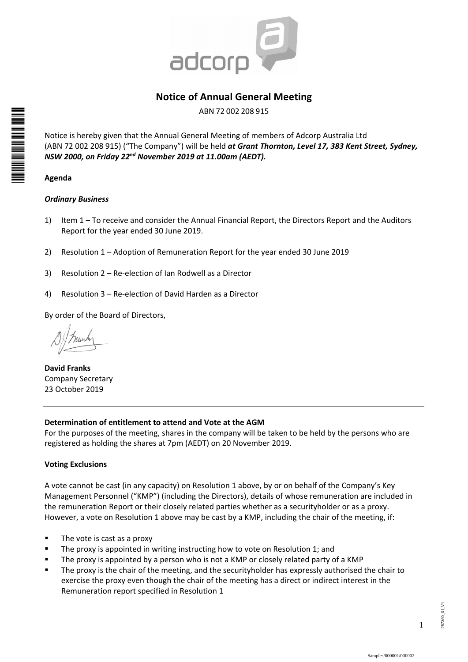

# **Notice of Annual General Meeting**

ABN 72 002 208 915

Notice is hereby given that the Annual General Meeting of members of Adcorp Australia Ltd (ABN 72 002 208 915) ("The Company") will be held *at Grant Thornton, Level 17, 383 Kent Street, Sydney, NSW 2000, on Friday 22nd November 2019 at 11.00am (AEDT).*

# **Agenda**

\*I00000101\*

# *Ordinary Business*

- 1) Item 1 To receive and consider the Annual Financial Report, the Directors Report and the Auditors Report for the year ended 30 June 2019.
- 2) Resolution 1 Adoption of Remuneration Report for the year ended 30 June 2019
- 3) Resolution 2 Re-election of Ian Rodwell as a Director
- 4) Resolution 3 Re-election of David Harden as a Director

By order of the Board of Directors,

**David Franks**  Company Secretary 23 October 2019

# **Determination of entitlement to attend and Vote at the AGM**

For the purposes of the meeting, shares in the company will be taken to be held by the persons who are registered as holding the shares at 7pm (AEDT) on 20 November 2019.

# **Voting Exclusions**

A vote cannot be cast (in any capacity) on Resolution 1 above, by or on behalf of the Company's Key Management Personnel ("KMP") (including the Directors), details of whose remuneration are included in the remuneration Report or their closely related parties whether as a securityholder or as a proxy. However, a vote on Resolution 1 above may be cast by a KMP, including the chair of the meeting, if:

- $\blacksquare$  The vote is cast as a proxy
- **The proxy is appointed in writing instructing how to vote on Resolution 1; and**
- The proxy is appointed by a person who is not a KMP or closely related party of a KMP
- The proxy is the chair of the meeting, and the securityholder has expressly authorised the chair to exercise the proxy even though the chair of the meeting has a direct or indirect interest in the Remuneration report specified in Resolution 1

1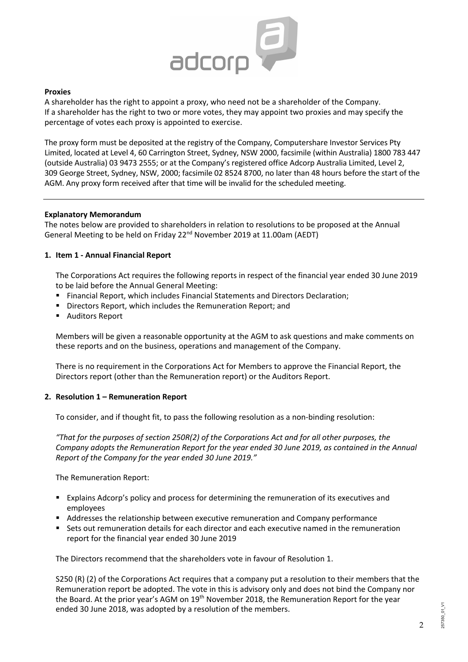

#### **Proxies**

A shareholder has the right to appoint a proxy, who need not be a shareholder of the Company. If a shareholder has the right to two or more votes, they may appoint two proxies and may specify the percentage of votes each proxy is appointed to exercise.

The proxy form must be deposited at the registry of the Company, Computershare Investor Services Pty Limited, located at Level 4, 60 Carrington Street, Sydney, NSW 2000, facsimile (within Australia) 1800 783 447 (outside Australia) 03 9473 2555; or at the Company's registered office Adcorp Australia Limited, Level 2, 309 George Street, Sydney, NSW, 2000; facsimile 02 8524 8700, no later than 48 hours before the start of the AGM. Any proxy form received after that time will be invalid for the scheduled meeting.

### **Explanatory Memorandum**

The notes below are provided to shareholders in relation to resolutions to be proposed at the Annual General Meeting to be held on Friday 22nd November 2019 at 11.00am (AEDT)

#### **1. Item 1 - Annual Financial Report**

The Corporations Act requires the following reports in respect of the financial year ended 30 June 2019 to be laid before the Annual General Meeting:

- Financial Report, which includes Financial Statements and Directors Declaration;
- Directors Report, which includes the Remuneration Report; and
- Auditors Report

Members will be given a reasonable opportunity at the AGM to ask questions and make comments on these reports and on the business, operations and management of the Company.

There is no requirement in the Corporations Act for Members to approve the Financial Report, the Directors report (other than the Remuneration report) or the Auditors Report.

### **2. Resolution 1 – Remuneration Report**

To consider, and if thought fit, to pass the following resolution as a non-binding resolution:

*"That for the purposes of section 250R(2) of the Corporations Act and for all other purposes, the Company adopts the Remuneration Report for the year ended 30 June 2019, as contained in the Annual Report of the Company for the year ended 30 June 2019."* 

The Remuneration Report:

- Explains Adcorp's policy and process for determining the remuneration of its executives and employees
- Addresses the relationship between executive remuneration and Company performance
- Sets out remuneration details for each director and each executive named in the remuneration report for the financial year ended 30 June 2019

The Directors recommend that the shareholders vote in favour of Resolution 1.

S250 (R) (2) of the Corporations Act requires that a company put a resolution to their members that the Remuneration report be adopted. The vote in this is advisory only and does not bind the Company nor the Board. At the prior year's AGM on 19<sup>th</sup> November 2018, the Remuneration Report for the year ended 30 June 2018, was adopted by a resolution of the members.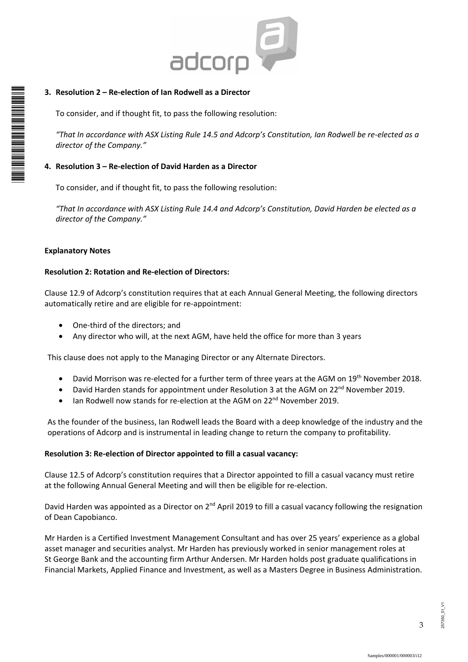

### **3. Resolution 2 – Re-election of Ian Rodwell as a Director**

To consider, and if thought fit, to pass the following resolution:

*"That In accordance with ASX Listing Rule 14.5 and Adcorp's Constitution, Ian Rodwell be re-elected as a director of the Company."* 

#### **4. Resolution 3 – Re-election of David Harden as a Director**

To consider, and if thought fit, to pass the following resolution:

*"That In accordance with ASX Listing Rule 14.4 and Adcorp's Constitution, David Harden be elected as a director of the Company."* 

#### **Explanatory Notes**

\* M0000112<br>M000112

#### **Resolution 2: Rotation and Re-election of Directors:**

Clause 12.9 of Adcorp's constitution requires that at each Annual General Meeting, the following directors automatically retire and are eligible for re-appointment:

- One-third of the directors; and
- Any director who will, at the next AGM, have held the office for more than 3 years

This clause does not apply to the Managing Director or any Alternate Directors.

- David Morrison was re-elected for a further term of three years at the AGM on 19<sup>th</sup> November 2018.
- David Harden stands for appointment under Resolution 3 at the AGM on 22<sup>nd</sup> November 2019.
- Ian Rodwell now stands for re-election at the AGM on 22<sup>nd</sup> November 2019.

As the founder of the business, Ian Rodwell leads the Board with a deep knowledge of the industry and the operations of Adcorp and is instrumental in leading change to return the company to profitability.

#### **Resolution 3: Re-election of Director appointed to fill a casual vacancy:**

Clause 12.5 of Adcorp's constitution requires that a Director appointed to fill a casual vacancy must retire at the following Annual General Meeting and will then be eligible for re-election.

David Harden was appointed as a Director on 2<sup>nd</sup> April 2019 to fill a casual vacancy following the resignation of Dean Capobianco.

Mr Harden is a Certified Investment Management Consultant and has over 25 years' experience as a global asset manager and securities analyst. Mr Harden has previously worked in senior management roles at St George Bank and the accounting firm Arthur Andersen. Mr Harden holds post graduate qualifications in Financial Markets, Applied Finance and Investment, as well as a Masters Degree in Business Administration.

3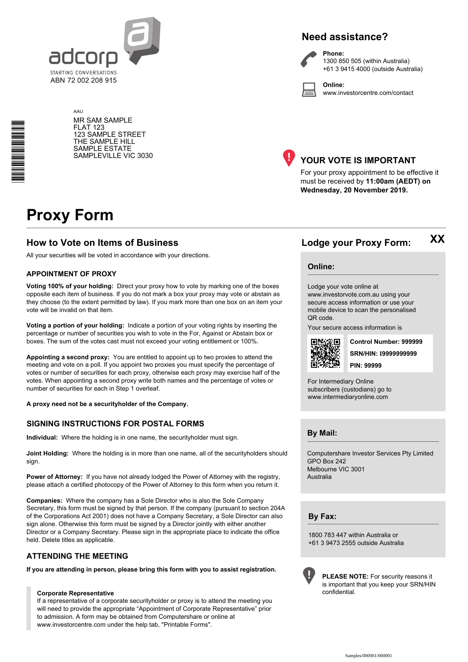

# **Need assistance?**



**Phone:** 1300 850 505 (within Australia) +61 3 9415 4000 (outside Australia)

**Online:** www.investorcentre.com/contact

AAU MR SAM SAMPLE FLAT 123 123 SAMPLE STREET THE SAMPLE HILL SAMPLE ESTATE SAMPLEVILLE VIC 3030



# **YOUR VOTE IS IMPORTANT**

For your proxy appointment to be effective it must be received by **11:00am (AEDT) on Wednesday, 20 November 2019.**

# **Proxy Form**

\*<br>\* London<br>Timografia

# **How to Vote on Items of Business Lodge your Proxy Form:**

All your securities will be voted in accordance with your directions.

#### **APPOINTMENT OF PROXY**

**Voting 100% of your holding:** Direct your proxy how to vote by marking one of the boxes opposite each item of business. If you do not mark a box your proxy may vote or abstain as they choose (to the extent permitted by law). If you mark more than one box on an item your vote will be invalid on that item.

**Voting a portion of your holding:** Indicate a portion of your voting rights by inserting the percentage or number of securities you wish to vote in the For, Against or Abstain box or boxes. The sum of the votes cast must not exceed your voting entitlement or 100%.

**Appointing a second proxy:** You are entitled to appoint up to two proxies to attend the meeting and vote on a poll. If you appoint two proxies you must specify the percentage of votes or number of securities for each proxy, otherwise each proxy may exercise half of the votes. When appointing a second proxy write both names and the percentage of votes or number of securities for each in Step 1 overleaf.

**A proxy need not be a securityholder of the Company.**

#### **SIGNING INSTRUCTIONS FOR POSTAL FORMS**

**Individual:** Where the holding is in one name, the securityholder must sign.

**Joint Holding:** Where the holding is in more than one name, all of the securityholders should sign.

**Power of Attorney:** If you have not already lodged the Power of Attorney with the registry, please attach a certified photocopy of the Power of Attorney to this form when you return it.

**Companies:** Where the company has a Sole Director who is also the Sole Company Secretary, this form must be signed by that person. If the company (pursuant to section 204A of the Corporations Act 2001) does not have a Company Secretary, a Sole Director can also sign alone. Otherwise this form must be signed by a Director jointly with either another Director or a Company Secretary. Please sign in the appropriate place to indicate the office held. Delete titles as applicable.

### **ATTENDING THE MEETING**

**If you are attending in person, please bring this form with you to assist registration.**

#### **Corporate Representative**

If a representative of a corporate securityholder or proxy is to attend the meeting you will need to provide the appropriate "Appointment of Corporate Representative" prior to admission. A form may be obtained from Computershare or online at www.investorcentre.com under the help tab, "Printable Forms".

**XX**

#### **Online:**

Lodge your vote online at www.investorvote.com.au using your secure access information or use your

mobile device to scan the personalised QR code.

Your secure access information is



**SRN/HIN: I9999999999 Control Number: 999999 PIN: 99999**

For Intermediary Online subscribers (custodians) go to www.intermediaryonline.com

**By Mail:**

Computershare Investor Services Pty Limited GPO Box 242 Melbourne VIC 3001 Australia

**By Fax:**

1800 783 447 within Australia or +61 3 9473 2555 outside Australia



**PLEASE NOTE:** For security reasons it is important that you keep your SRN/HIN confidential.